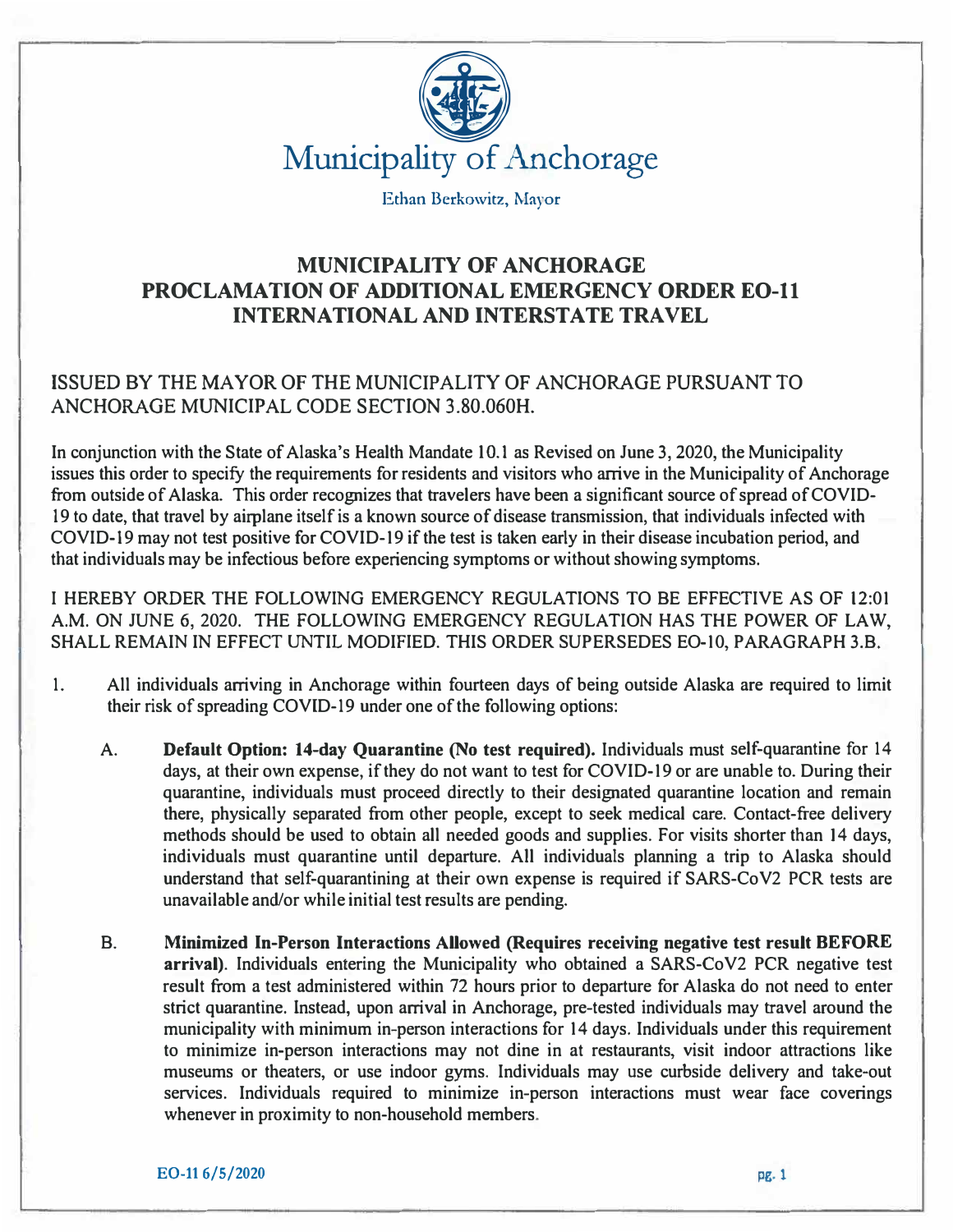

Ethan Berkowitz, Mayor

## **MUNICIPALITY OF ANCHORAGE PROCLAMATION OF ADDITIONAL EMERGENCY ORDER EO-11 INTERNATIONAL AND INTERSTATE TRAVEL**

## ISSUED BY THE MAYOR OF THE MUNICIPALITY OF ANCHORAGE PURSUANT TO ANCHORAGE MUNICIPAL CODE SECTION 3.80.060H.

In conjunction with the State of Alaska's Health Mandate IO.I as Revised on June 3, 2020, the Municipality issues this order to specify the requirements for residents and visitors who arrive in the Municipality of Anchorage from outside of Alaska. This order recognizes that travelers have been a significant source of spread of COVID-19 to date, that travel by airplane itself is a known source of disease transmission, that individuals infected with COVID-19 may not test positive for COVID-19 if the test is taken early in their disease incubation period, and that individuals may be infectious before experiencing symptoms or without showing symptoms.

I HEREBY ORDER THE FOLLOWING EMERGENCY REGULATIONS TO BE EFFECTIVE AS OF 12:01 A.M. ON JUNE 6, 2020. THE FOLLOWING EMERGENCY REGULATION HAS THE POWER OF LAW, SHALL REMAIN IN EFFECT UNTIL MODIFIED. THIS ORDER SUPERSEDES EO-10, PARAGRAPH 3.B.

- 1. All individuals arriving in Anchorage within fourteen days of being outside Alaska are required to limit their risk of spreading COVID-19 under one of the following options:
	- A. **Default Option: 14-day Quarantine (No test required).** Individuals must self-quarantine for 14 days, at their own expense, if they do not want to test for COVID-19 or are unable to. During their quarantine, individuals must proceed directly to their designated quarantine location and remain there, physically separated from other people, except to seek medical care. Contact-free delivery methods should be used to obtain all needed goods and supplies. For visits shorter than 14 days, individuals must quarantine until departure. All individuals planning a trip to Alaska should understand that self-quarantining at their own expense is required if SARS-Co V2 PCR tests are unavailable and/or while initial test results are pending.
	- B. **Minimized In-Person Interactions Allowed (Requires receiving negative test result BEFORE arrival).** Individuals entering the Municipality who obtained a SARS-CoV2 PCR negative test result from a test administered within 72 hours prior to departure for Alaska do not need to enter strict quarantine. Instead, upon arrival in Anchorage, pre-tested individuals may travel around the municipality with minimum in-person interactions for 14 days. Individuals under this requirement to minimize in-person interactions may not dine in at restaurants, visit indoor attractions like museums or theaters, or use indoor gyms. Individuals may use curbside delivery and take-out services. Individuals required to minimize in-person interactions must wear face coverings whenever in proximity to non-household members.